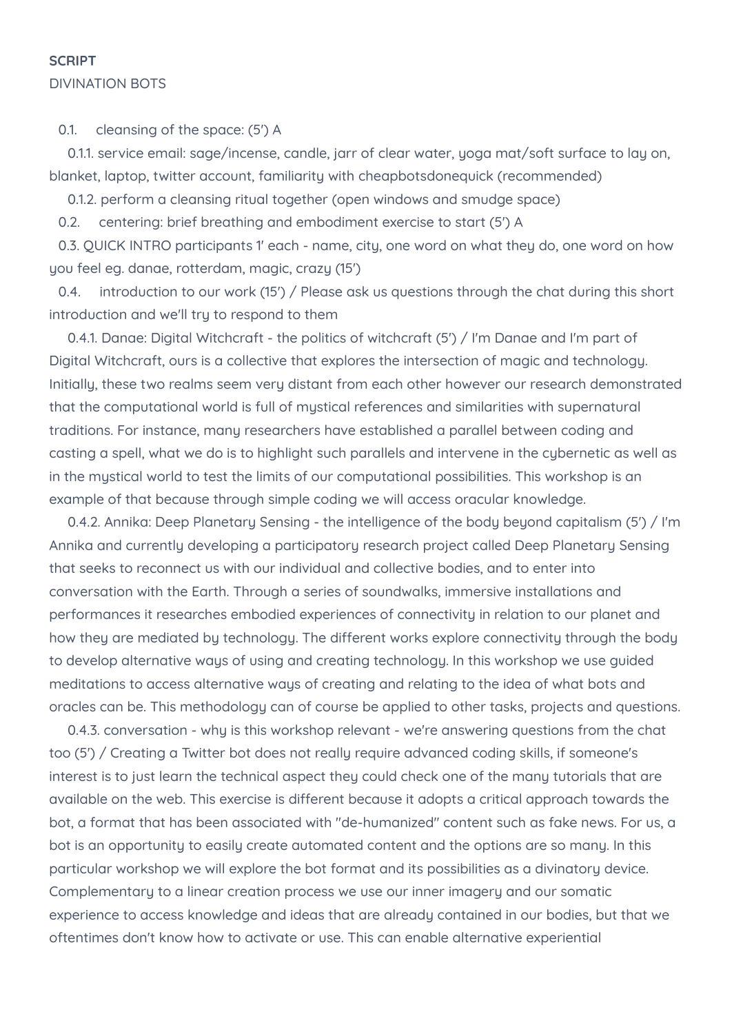## **SCRIPT**

## DIVINATION BOTS

0.1. cleansing of the space: (5') A

0.1.1. service email: sage/incense, candle, jarr of clear water, yoga mat/soft surface to lay on, blanket, laptop, twitter account, familiarity with cheapbotsdonequick (recommended)

0.1.2. perform a cleansing ritual together (open windows and smudge space)

0.2. centering: brief breathing and embodiment exercise to start (5') A

0.3. QUICK INTRO participants 1' each - name, city, one word on what they do, one word on how you feel eg. danae, rotterdam, magic, crazy (15')

0.4. introduction to our work (15') / Please ask us questions through the chat during this short introduction and we'll try to respond to them

0.4.1. Danae: Digital Witchcraft - the politics of witchcraft (5') / I'm Danae and I'm part of Digital Witchcraft, ours is a collective that explores the intersection of magic and technology. Initially, these two realms seem very distant from each other however our research demonstrated that the computational world is full of mystical references and similarities with supernatural traditions. For instance, many researchers have established a parallel between coding and casting a spell, what we do is to highlight such parallels and intervene in the cybernetic as well as in the mystical world to test the limits of our computational possibilities. This workshop is an example of that because through simple coding we will access oracular knowledge.

0.4.2. Annika: Deep Planetary Sensing - the intelligence of the body beyond capitalism (5') / I'm Annika and currently developing a participatory research project called Deep Planetary Sensing that seeks to reconnect us with our individual and collective bodies, and to enter into conversation with the Earth. Through a series of soundwalks, immersive installations and performances it researches embodied experiences of connectivity in relation to our planet and how they are mediated by technology. The different works explore connectivity through the body to develop alternative ways of using and creating technology. In this workshop we use guided meditations to access alternative ways of creating and relating to the idea of what bots and oracles can be. This methodology can of course be applied to other tasks, projects and questions.

0.4.3. conversation - why is this workshop relevant - we're answering questions from the chat too (5') / Creating a Twitter bot does not really require advanced coding skills, if someone's interest is to just learn the technical aspect they could check one of the many tutorials that are available on the web. This exercise is different because it adopts a critical approach towards the bot, a format that has been associated with "de-humanized" content such as fake news. For us, a bot is an opportunity to easily create automated content and the options are so many. In this particular workshop we will explore the bot format and its possibilities as a divinatory device. Complementary to a linear creation process we use our inner imagery and our somatic experience to access knowledge and ideas that are already contained in our bodies, but that we oftentimes don't know how to activate or use. This can enable alternative experiential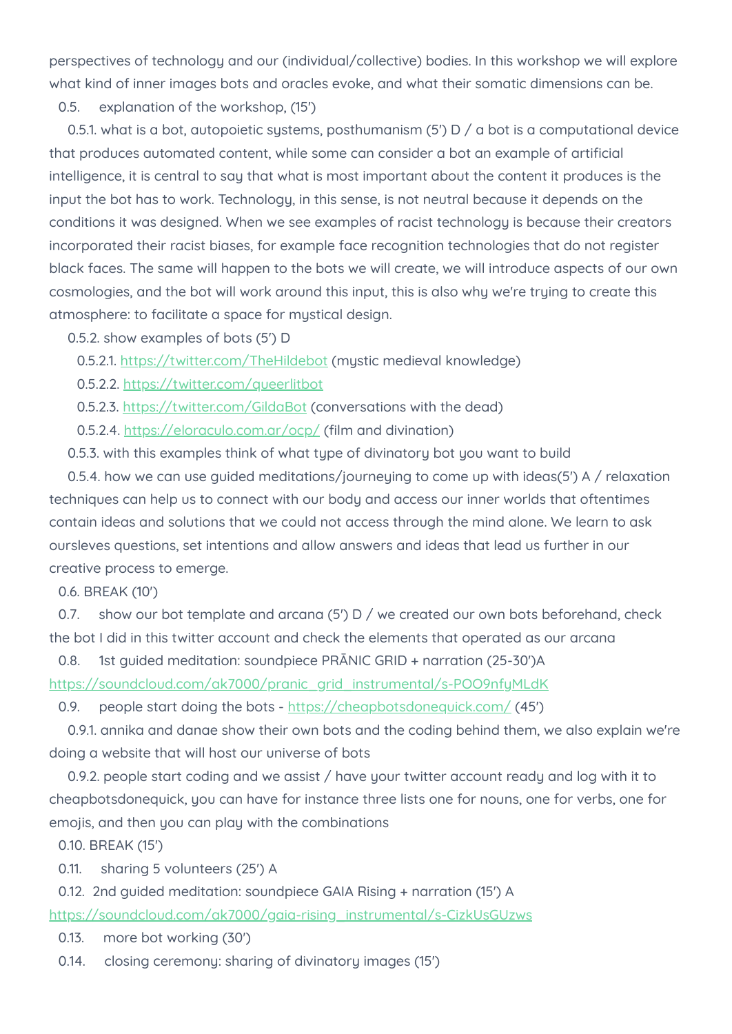perspectives of technology and our (individual/collective) bodies. In this workshop we will explore what kind of inner images bots and oracles evoke, and what their somatic dimensions can be.

0.5. explanation of the workshop, (15')

0.5.1. what is a bot, autopoietic systems, posthumanism (5') D / a bot is a computational device that produces automated content, while some can consider a bot an example of artificial intelligence, it is central to say that what is most important about the content it produces is the input the bot has to work. Technology, in this sense, is not neutral because it depends on the conditions it was designed. When we see examples of racist technology is because their creators incorporated their racist biases, for example face recognition technologies that do not register black faces. The same will happen to the bots we will create, we will introduce aspects of our own cosmologies, and the bot will work around this input, this is also why we're trying to create this atmosphere: to facilitate a space for mystical design.

0.5.2. show examples of bots (5') D

0.5.2.1. <https://twitter.com/TheHildebot>(mystic medieval knowledge)

0.5.2.2. <https://twitter.com/queerlitbot>

0.5.2.3. <https://twitter.com/GildaBot> (conversations with the dead)

0.5.2.4. <https://eloraculo.com.ar/ocp/> (film and divination)

0.5.3. with this examples think of what type of divinatory bot you want to build

0.5.4. how we can use guided meditations/journeying to come up with ideas(5') A / relaxation techniques can help us to connect with our body and access our inner worlds that oftentimes contain ideas and solutions that we could not access through the mind alone. We learn to ask oursleves questions, set intentions and allow answers and ideas that lead us further in our creative process to emerge.

0.6. BREAK (10')

0.7. show our bot template and arcana (5') D / we created our own bots beforehand, check the bot I did in this twitter account and check the elements that operated as our arcana

0.8. 1st guided meditation: soundpiece PRANIC GRID + narration (25-30')A [https://soundcloud.com/ak7000/pranic\\_grid\\_instrumental/s-POO9nfyMLdK](https://soundcloud.com/ak7000/pranic_grid_instrumental/s-POO9nfyMLdK)

0.9. people start doing the bots - <https://cheapbotsdonequick.com/> (45')

0.9.1. annika and danae show their own bots and the coding behind them, we also explain we're doing a website that will host our universe of bots

0.9.2. people start coding and we assist / have your twitter account ready and log with it to cheapbotsdonequick, you can have for instance three lists one for nouns, one for verbs, one for emojis, and then you can play with the combinations

0.10. BREAK (15')

0.11. sharing 5 volunteers (25') A

0.12. 2nd guided meditation: soundpiece GAIA Rising + narration (15') A

[https://soundcloud.com/ak7000/gaia-rising\\_instrumental/s-CizkUsGUzws](https://soundcloud.com/ak7000/gaia-rising_instrumental/s-CizkUsGUzws)

0.13. more bot working (30')

0.14. closing ceremony: sharing of divinatory images (15')